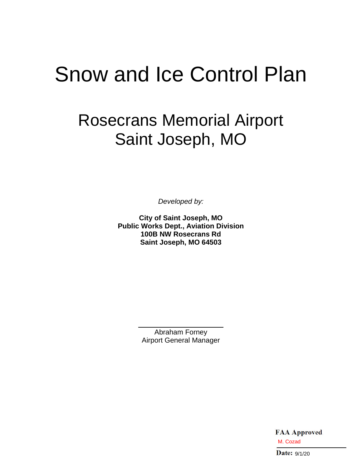# Snow and Ice Control Plan

# Rosecrans Memorial Airport Saint Joseph, MO

*Developed by:*

**City of Saint Joseph, MO Public Works Dept., Aviation Division 100B NW Rosecrans Rd Saint Joseph, MO 64503**

> Abraham Forney Airport General Manager

> > **FAA Approved** M. Cozad<br>Date:  $9/1/20$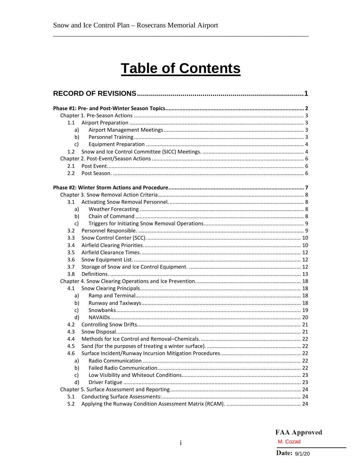# **Table of Contents**

| 1.1 |                                                                 |  |
|-----|-----------------------------------------------------------------|--|
| a)  |                                                                 |  |
| b)  |                                                                 |  |
| c)  |                                                                 |  |
| 1.2 |                                                                 |  |
|     |                                                                 |  |
| 2.1 |                                                                 |  |
| 2.2 |                                                                 |  |
|     |                                                                 |  |
|     |                                                                 |  |
| 3.1 |                                                                 |  |
| a)  |                                                                 |  |
| b)  |                                                                 |  |
| c)  |                                                                 |  |
| 3.2 |                                                                 |  |
| 3.3 |                                                                 |  |
| 3.4 |                                                                 |  |
| 3.5 |                                                                 |  |
| 3.6 |                                                                 |  |
| 3.7 |                                                                 |  |
| 3.8 |                                                                 |  |
|     |                                                                 |  |
| 4.1 |                                                                 |  |
| a)  |                                                                 |  |
| b)  |                                                                 |  |
| c)  |                                                                 |  |
| d)  |                                                                 |  |
| 4.2 |                                                                 |  |
| 4.3 |                                                                 |  |
| 4.4 |                                                                 |  |
| 4.5 |                                                                 |  |
| 4.6 | Surface Incident/Runway Incursion Mitigation Procedures<br>. 22 |  |
| a)  |                                                                 |  |
| b)  |                                                                 |  |
| c)  |                                                                 |  |
| d)  |                                                                 |  |
|     |                                                                 |  |
| 5.1 |                                                                 |  |
| 5.2 |                                                                 |  |

**FAA Approved** M. Cozad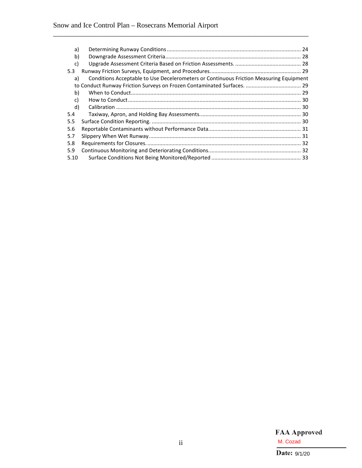| a)                                                                                           |  |
|----------------------------------------------------------------------------------------------|--|
| b)                                                                                           |  |
| c)                                                                                           |  |
| 5.3                                                                                          |  |
| Conditions Acceptable to Use Decelerometers or Continuous Friction Measuring Equipment<br>a) |  |
|                                                                                              |  |
| b)                                                                                           |  |
| c)                                                                                           |  |
| d)                                                                                           |  |
| 5.4                                                                                          |  |
| 5.5                                                                                          |  |
| 5.6                                                                                          |  |
| 5.7                                                                                          |  |
| 5.8                                                                                          |  |
| 5.9                                                                                          |  |
| 5.10                                                                                         |  |

\_\_\_\_\_\_\_\_\_\_\_\_\_\_\_\_\_\_\_\_\_\_\_\_\_\_\_\_\_\_\_\_\_\_\_\_\_\_\_\_\_\_\_\_\_\_\_\_\_\_\_\_\_\_\_\_\_\_\_\_\_\_\_\_\_\_\_\_\_\_\_\_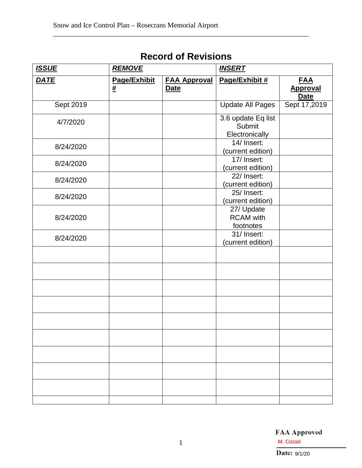| <b>ISSUE</b> | <b>REMOVE</b>     |                                    | <b>INSERT</b>                                  |                                              |  |
|--------------|-------------------|------------------------------------|------------------------------------------------|----------------------------------------------|--|
| <b>DATE</b>  | Page/Exhibit<br># | <b>FAA Approval</b><br><b>Date</b> | Page/Exhibit #                                 | <b>FAA</b><br><b>Approval</b><br><b>Date</b> |  |
| Sept 2019    |                   |                                    | <b>Update All Pages</b>                        | Sept 17,2019                                 |  |
| 4/7/2020     |                   |                                    | 3.6 update Eq list<br>Submit<br>Electronically |                                              |  |
| 8/24/2020    |                   |                                    | 14/ Insert:<br>(current edition)               |                                              |  |
| 8/24/2020    |                   |                                    | 17/ Insert:<br>(current edition)               |                                              |  |
| 8/24/2020    |                   |                                    | 22/ Insert:<br>(current edition)               |                                              |  |
| 8/24/2020    |                   |                                    | 25/ Insert:<br>(current edition)               |                                              |  |
| 8/24/2020    |                   |                                    | 27/ Update<br><b>RCAM</b> with<br>footnotes    |                                              |  |
| 8/24/2020    |                   |                                    | 31/ Insert:<br>(current edition)               |                                              |  |
|              |                   |                                    |                                                |                                              |  |
|              |                   |                                    |                                                |                                              |  |
|              |                   |                                    |                                                |                                              |  |
|              |                   |                                    |                                                |                                              |  |
|              |                   |                                    |                                                |                                              |  |
|              |                   |                                    |                                                |                                              |  |
|              |                   |                                    |                                                |                                              |  |
|              |                   |                                    |                                                |                                              |  |

# **Record of Revisions**

<span id="page-3-0"></span>\_\_\_\_\_\_\_\_\_\_\_\_\_\_\_\_\_\_\_\_\_\_\_\_\_\_\_\_\_\_\_\_\_\_\_\_\_\_\_\_\_\_\_\_\_\_\_\_\_\_\_\_\_\_\_\_\_\_\_\_\_\_\_\_\_\_\_\_\_\_\_\_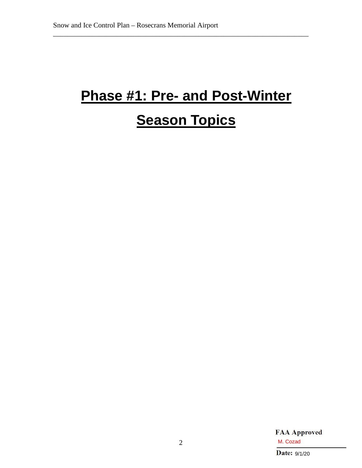# <span id="page-4-0"></span>**Phase #1: Pre- and Post-Winter**

\_\_\_\_\_\_\_\_\_\_\_\_\_\_\_\_\_\_\_\_\_\_\_\_\_\_\_\_\_\_\_\_\_\_\_\_\_\_\_\_\_\_\_\_\_\_\_\_\_\_\_\_\_\_\_\_\_\_\_\_\_\_\_\_\_\_\_\_\_\_\_\_

# **Season Topics**

**FAA Approved** M. Cozad<br>Date:  $9/1/20$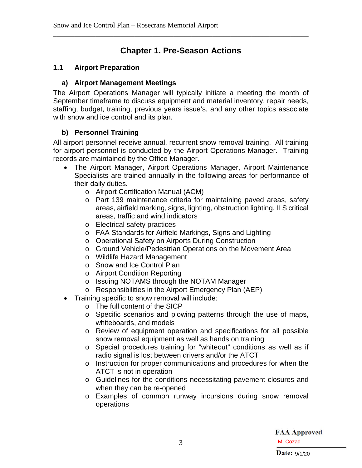## **Chapter 1. Pre-Season Actions**

<span id="page-5-0"></span>\_\_\_\_\_\_\_\_\_\_\_\_\_\_\_\_\_\_\_\_\_\_\_\_\_\_\_\_\_\_\_\_\_\_\_\_\_\_\_\_\_\_\_\_\_\_\_\_\_\_\_\_\_\_\_\_\_\_\_\_\_\_\_\_\_\_\_\_\_\_\_\_

#### <span id="page-5-2"></span><span id="page-5-1"></span>**1.1 Airport Preparation**

#### **a) Airport Management Meetings**

The Airport Operations Manager will typically initiate a meeting the month of September timeframe to discuss equipment and material inventory, repair needs, staffing, budget, training, previous years issue's, and any other topics associate with snow and ice control and its plan.

#### <span id="page-5-3"></span>**b) Personnel Training**

All airport personnel receive annual, recurrent snow removal training. All training for airport personnel is conducted by the Airport Operations Manager. Training records are maintained by the Office Manager.

- The Airport Manager, Airport Operations Manager, Airport Maintenance Specialists are trained annually in the following areas for performance of their daily duties.
	- o Airport Certification Manual (ACM)
	- o Part 139 maintenance criteria for maintaining paved areas, safety areas, airfield marking, signs, lighting, obstruction lighting, ILS critical areas, traffic and wind indicators
	- o Electrical safety practices
	- o FAA Standards for Airfield Markings, Signs and Lighting
	- o Operational Safety on Airports During Construction
	- o Ground Vehicle/Pedestrian Operations on the Movement Area
	- o Wildlife Hazard Management
	- o Snow and Ice Control Plan
	- o Airport Condition Reporting
	- o Issuing NOTAMS through the NOTAM Manager
	- o Responsibilities in the Airport Emergency Plan (AEP)
- Training specific to snow removal will include:
	- o The full content of the SICP
	- o Specific scenarios and plowing patterns through the use of maps, whiteboards, and models
	- o Review of equipment operation and specifications for all possible snow removal equipment as well as hands on training
	- o Special procedures training for "whiteout" conditions as well as if radio signal is lost between drivers and/or the ATCT
	- o Instruction for proper communications and procedures for when the ATCT is not in operation
	- o Guidelines for the conditions necessitating pavement closures and when they can be re-opened
	- o Examples of common runway incursions during snow removal operations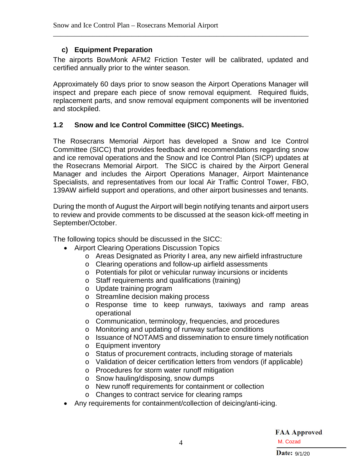#### <span id="page-6-0"></span>**c) Equipment Preparation**

The airports BowMonk AFM2 Friction Tester will be calibrated, updated and certified annually prior to the winter season.

\_\_\_\_\_\_\_\_\_\_\_\_\_\_\_\_\_\_\_\_\_\_\_\_\_\_\_\_\_\_\_\_\_\_\_\_\_\_\_\_\_\_\_\_\_\_\_\_\_\_\_\_\_\_\_\_\_\_\_\_\_\_\_\_\_\_\_\_\_\_\_\_

Approximately 60 days prior to snow season the Airport Operations Manager will inspect and prepare each piece of snow removal equipment. Required fluids, replacement parts, and snow removal equipment components will be inventoried and stockpiled.

### <span id="page-6-1"></span>**1.2 Snow and Ice Control Committee (SICC) Meetings.**

The Rosecrans Memorial Airport has developed a Snow and Ice Control Committee (SICC) that provides feedback and recommendations regarding snow and ice removal operations and the Snow and Ice Control Plan (SICP) updates at the Rosecrans Memorial Airport. The SICC is chaired by the Airport General Manager and includes the Airport Operations Manager, Airport Maintenance Specialists, and representatives from our local Air Traffic Control Tower, FBO, 139AW airfield support and operations, and other airport businesses and tenants.

During the month of August the Airport will begin notifying tenants and airport users to review and provide comments to be discussed at the season kick-off meeting in September/October.

The following topics should be discussed in the SICC:

- Airport Clearing Operations Discussion Topics
	- o Areas Designated as Priority I area, any new airfield infrastructure
	- o Clearing operations and follow-up airfield assessments
	- o Potentials for pilot or vehicular runway incursions or incidents
	- o Staff requirements and qualifications (training)
	- o Update training program
	- o Streamline decision making process
	- o Response time to keep runways, taxiways and ramp areas operational
	- o Communication, terminology, frequencies, and procedures
	- o Monitoring and updating of runway surface conditions
	- o Issuance of NOTAMS and dissemination to ensure timely notification
	- o Equipment inventory
	- o Status of procurement contracts, including storage of materials
	- o Validation of deicer certification letters from vendors (if applicable)
	- o Procedures for storm water runoff mitigation
	- o Snow hauling/disposing, snow dumps
	- o New runoff requirements for containment or collection
	- o Changes to contract service for clearing ramps
- Any requirements for containment/collection of deicing/anti-icing.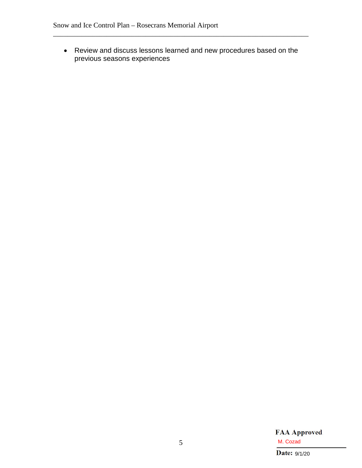• Review and discuss lessons learned and new procedures based on the previous seasons experiences

\_\_\_\_\_\_\_\_\_\_\_\_\_\_\_\_\_\_\_\_\_\_\_\_\_\_\_\_\_\_\_\_\_\_\_\_\_\_\_\_\_\_\_\_\_\_\_\_\_\_\_\_\_\_\_\_\_\_\_\_\_\_\_\_\_\_\_\_\_\_\_\_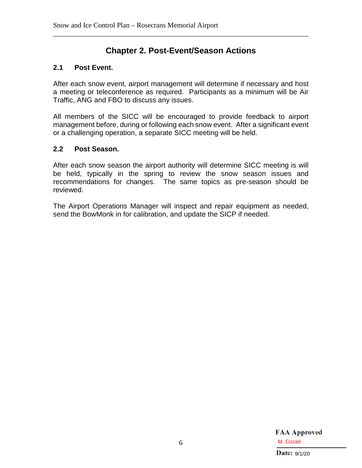## **Chapter 2. Post-Event/Season Actions**

<span id="page-8-0"></span>\_\_\_\_\_\_\_\_\_\_\_\_\_\_\_\_\_\_\_\_\_\_\_\_\_\_\_\_\_\_\_\_\_\_\_\_\_\_\_\_\_\_\_\_\_\_\_\_\_\_\_\_\_\_\_\_\_\_\_\_\_\_\_\_\_\_\_\_\_\_\_\_

#### <span id="page-8-1"></span>**2.1 Post Event.**

After each snow event, airport management will determine if necessary and host a meeting or teleconference as required. Participants as a minimum will be Air Traffic, ANG and FBO to discuss any issues.

All members of the SICC will be encouraged to provide feedback to airport management before, during or following each snow event. After a significant event or a challenging operation, a separate SICC meeting will be held.

#### <span id="page-8-2"></span>**2.2 Post Season.**

After each snow season the airport authority will determine SICC meeting is will be held, typically in the spring to review the snow season issues and recommendations for changes. The same topics as pre-season should be reviewed.

The Airport Operations Manager will inspect and repair equipment as needed, send the BowMonk in for calibration, and update the SICP if needed.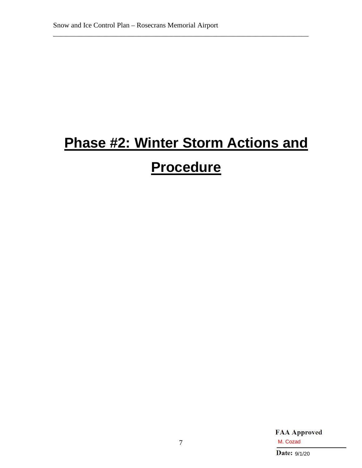# <span id="page-9-0"></span>**Phase #2: Winter Storm Actions and**

\_\_\_\_\_\_\_\_\_\_\_\_\_\_\_\_\_\_\_\_\_\_\_\_\_\_\_\_\_\_\_\_\_\_\_\_\_\_\_\_\_\_\_\_\_\_\_\_\_\_\_\_\_\_\_\_\_\_\_\_\_\_\_\_\_\_\_\_\_\_\_\_

# **Procedure**

**FAA Approved** M. Cozad<br>Date:  $9/1/20$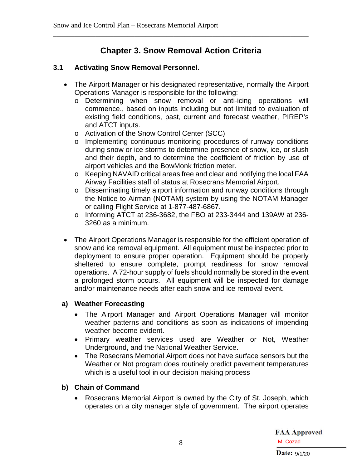## **Chapter 3. Snow Removal Action Criteria**

<span id="page-10-0"></span>\_\_\_\_\_\_\_\_\_\_\_\_\_\_\_\_\_\_\_\_\_\_\_\_\_\_\_\_\_\_\_\_\_\_\_\_\_\_\_\_\_\_\_\_\_\_\_\_\_\_\_\_\_\_\_\_\_\_\_\_\_\_\_\_\_\_\_\_\_\_\_\_

#### <span id="page-10-1"></span>**3.1 Activating Snow Removal Personnel.**

- The Airport Manager or his designated representative, normally the Airport Operations Manager is responsible for the following:
	- o Determining when snow removal or anti-icing operations will commence., based on inputs including but not limited to evaluation of existing field conditions, past, current and forecast weather, PIREP's and ATCT inputs.
	- o Activation of the Snow Control Center (SCC)
	- o Implementing continuous monitoring procedures of runway conditions during snow or ice storms to determine presence of snow, ice, or slush and their depth, and to determine the coefficient of friction by use of airport vehicles and the BowMonk friction meter.
	- o Keeping NAVAID critical areas free and clear and notifying the local FAA Airway Facilities staff of status at Rosecrans Memorial Airport.
	- o Disseminating timely airport information and runway conditions through the Notice to Airman (NOTAM) system by using the NOTAM Manager or calling Flight Service at 1-877-487-6867.
	- o Informing ATCT at 236-3682, the FBO at 233-3444 and 139AW at 236- 3260 as a minimum.
- The Airport Operations Manager is responsible for the efficient operation of snow and ice removal equipment. All equipment must be inspected prior to deployment to ensure proper operation. Equipment should be properly sheltered to ensure complete, prompt readiness for snow removal operations. A 72-hour supply of fuels should normally be stored in the event a prolonged storm occurs. All equipment will be inspected for damage and/or maintenance needs after each snow and ice removal event.

#### <span id="page-10-2"></span>**a) Weather Forecasting**

- The Airport Manager and Airport Operations Manager will monitor weather patterns and conditions as soon as indications of impending weather become evident.
- Primary weather services used are Weather or Not, Weather Underground, and the National Weather Service.
- The Rosecrans Memorial Airport does not have surface sensors but the Weather or Not program does routinely predict pavement temperatures which is a useful tool in our decision making process

#### <span id="page-10-3"></span>**b) Chain of Command**

• Rosecrans Memorial Airport is owned by the City of St. Joseph, which operates on a city manager style of government. The airport operates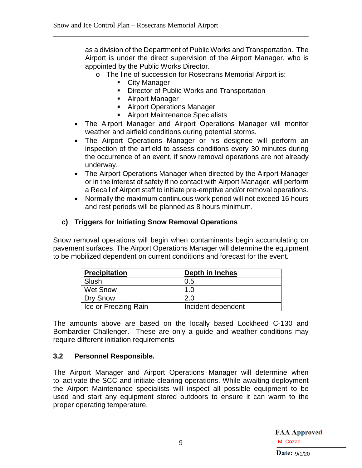as a division of the Department of Public Works and Transportation. The Airport is under the direct supervision of the Airport Manager, who is appointed by the Public Works Director.

o The line of succession for Rosecrans Memorial Airport is:

\_\_\_\_\_\_\_\_\_\_\_\_\_\_\_\_\_\_\_\_\_\_\_\_\_\_\_\_\_\_\_\_\_\_\_\_\_\_\_\_\_\_\_\_\_\_\_\_\_\_\_\_\_\_\_\_\_\_\_\_\_\_\_\_\_\_\_\_\_\_\_\_

- **City Manager**
- **Director of Public Works and Transportation**
- Airport Manager
- Airport Operations Manager
- **Airport Maintenance Specialists**
- The Airport Manager and Airport Operations Manager will monitor weather and airfield conditions during potential storms.
- The Airport Operations Manager or his designee will perform an inspection of the airfield to assess conditions every 30 minutes during the occurrence of an event, if snow removal operations are not already underway.
- The Airport Operations Manager when directed by the Airport Manager or in the interest of safety if no contact with Airport Manager, will perform a Recall of Airport staff to initiate pre-emptive and/or removal operations.
- Normally the maximum continuous work period will not exceed 16 hours and rest periods will be planned as 8 hours minimum.

#### <span id="page-11-0"></span>**c) Triggers for Initiating Snow Removal Operations**

Snow removal operations will begin when contaminants begin accumulating on pavement surfaces. The Airport Operations Manager will determine the equipment to be mobilized dependent on current conditions and forecast for the event.

| <b>Precipitation</b> | Depth in Inches    |
|----------------------|--------------------|
| Slush                | 0.5                |
| <b>Wet Snow</b>      | 1.0                |
| Dry Snow             | 2.0                |
| Ice or Freezing Rain | Incident dependent |

The amounts above are based on the locally based Lockheed C-130 and Bombardier Challenger. These are only a guide and weather conditions may require different initiation requirements

#### <span id="page-11-1"></span>**3.2 Personnel Responsible.**

The Airport Manager and Airport Operations Manager will determine when to activate the SCC and initiate clearing operations. While awaiting deployment the Airport Maintenance specialists will inspect all possible equipment to be used and start any equipment stored outdoors to ensure it can warm to the proper operating temperature.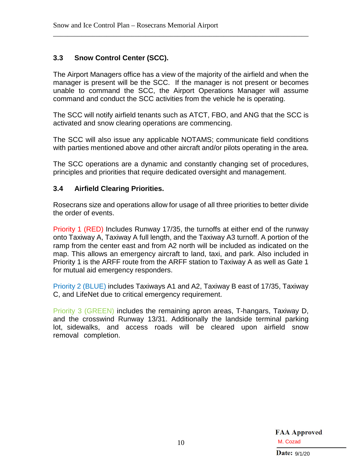#### <span id="page-12-0"></span>**3.3 Snow Control Center (SCC).**

The Airport Managers office has a view of the majority of the airfield and when the manager is present will be the SCC. If the manager is not present or becomes unable to command the SCC, the Airport Operations Manager will assume command and conduct the SCC activities from the vehicle he is operating.

\_\_\_\_\_\_\_\_\_\_\_\_\_\_\_\_\_\_\_\_\_\_\_\_\_\_\_\_\_\_\_\_\_\_\_\_\_\_\_\_\_\_\_\_\_\_\_\_\_\_\_\_\_\_\_\_\_\_\_\_\_\_\_\_\_\_\_\_\_\_\_\_

The SCC will notify airfield tenants such as ATCT, FBO, and ANG that the SCC is activated and snow clearing operations are commencing.

The SCC will also issue any applicable NOTAMS; communicate field conditions with parties mentioned above and other aircraft and/or pilots operating in the area.

The SCC operations are a dynamic and constantly changing set of procedures, principles and priorities that require dedicated oversight and management.

#### <span id="page-12-1"></span>**3.4 Airfield Clearing Priorities.**

Rosecrans size and operations allow for usage of all three priorities to better divide the order of events.

Priority 1 (RED) Includes Runway 17/35, the turnoffs at either end of the runway onto Taxiway A, Taxiway A full length, and the Taxiway A3 turnoff. A portion of the ramp from the center east and from A2 north will be included as indicated on the map. This allows an emergency aircraft to land, taxi, and park. Also included in Priority 1 is the ARFF route from the ARFF station to Taxiway A as well as Gate 1 for mutual aid emergency responders.

Priority 2 (BLUE) includes Taxiways A1 and A2, Taxiway B east of 17/35, Taxiway C, and LifeNet due to critical emergency requirement.

Priority 3 (GREEN) includes the remaining apron areas, T-hangars, Taxiway D, and the crosswind Runway 13/31. Additionally the landside terminal parking lot, sidewalks, and access roads will be cleared upon airfield snow removal completion.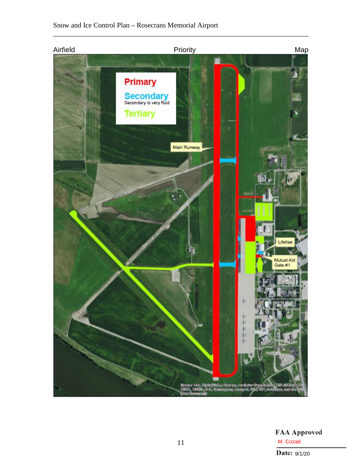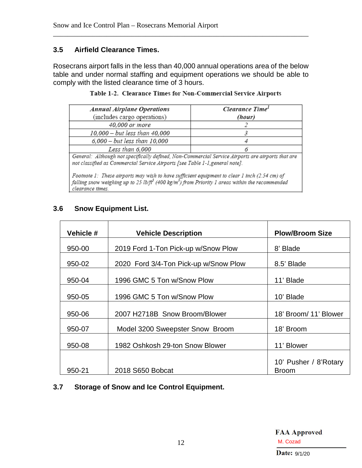#### <span id="page-14-0"></span>**3.5 Airfield Clearance Times.**

Rosecrans airport falls in the less than 40,000 annual operations area of the below table and under normal staffing and equipment operations we should be able to comply with the listed clearance time of 3 hours.

\_\_\_\_\_\_\_\_\_\_\_\_\_\_\_\_\_\_\_\_\_\_\_\_\_\_\_\_\_\_\_\_\_\_\_\_\_\_\_\_\_\_\_\_\_\_\_\_\_\_\_\_\_\_\_\_\_\_\_\_\_\_\_\_\_\_\_\_\_\_\_\_

| <b>Annual Airplane Operations</b><br>(includes cargo operations)                                                                                                                                                                             | Clearance Time <sup>1</sup><br>(hour) |
|----------------------------------------------------------------------------------------------------------------------------------------------------------------------------------------------------------------------------------------------|---------------------------------------|
|                                                                                                                                                                                                                                              |                                       |
| 40,000 or more                                                                                                                                                                                                                               |                                       |
| 10,000 - but less than 40,000                                                                                                                                                                                                                |                                       |
| 6,000 - but less than 10,000                                                                                                                                                                                                                 |                                       |
| Less than 6,000                                                                                                                                                                                                                              |                                       |
| General: Although not specifically defined, Non-Commercial Service Airports are airports that are<br>not classified as Commercial Service Airports [see Table 1-1, general note].                                                            |                                       |
| Footnote 1: These airports may wish to have sufficient equipment to clear 1 inch (2.54 cm) of<br>falling snow weighing up to 25 lb/ft <sup>3</sup> (400 kg/m <sup>3</sup> ) from Priority 1 areas within the recommended<br>clearance times. |                                       |

#### <span id="page-14-1"></span>**3.6 Snow Equipment List.**

| Vehicle # | <b>Vehicle Description</b>            | <b>Plow/Broom Size</b>                |
|-----------|---------------------------------------|---------------------------------------|
| 950-00    | 2019 Ford 1-Ton Pick-up w/Snow Plow   | 8' Blade                              |
| 950-02    | 2020 Ford 3/4-Ton Pick-up w/Snow Plow | 8.5' Blade                            |
| 950-04    | 1996 GMC 5 Ton w/Snow Plow            | 11' Blade                             |
| 950-05    | 1996 GMC 5 Ton w/Snow Plow            | 10' Blade                             |
| 950-06    | 2007 H2718B Snow Broom/Blower         | 18' Broom/ 11' Blower                 |
| 950-07    | Model 3200 Sweepster Snow Broom       | 18' Broom                             |
| 950-08    | 1982 Oshkosh 29-ton Snow Blower       | 11' Blower                            |
| 950-21    | 2018 S650 Bobcat                      | 10' Pusher / 8'Rotary<br><b>Broom</b> |

### <span id="page-14-2"></span>**3.7 Storage of Snow and Ice Control Equipment.**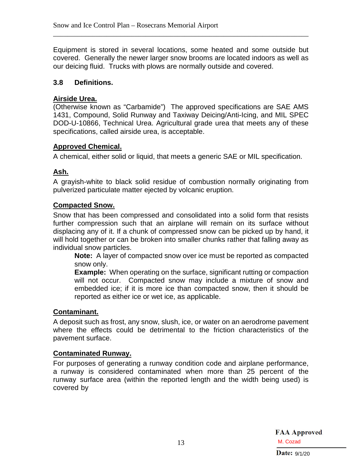Equipment is stored in several locations, some heated and some outside but covered. Generally the newer larger snow brooms are located indoors as well as our deicing fluid. Trucks with plows are normally outside and covered.

\_\_\_\_\_\_\_\_\_\_\_\_\_\_\_\_\_\_\_\_\_\_\_\_\_\_\_\_\_\_\_\_\_\_\_\_\_\_\_\_\_\_\_\_\_\_\_\_\_\_\_\_\_\_\_\_\_\_\_\_\_\_\_\_\_\_\_\_\_\_\_\_

#### <span id="page-15-0"></span>**3.8 Definitions.**

#### **Airside Urea.**

(Otherwise known as "Carbamide") The approved specifications are SAE AMS 1431, Compound, Solid Runway and Taxiway Deicing/Anti-Icing, and MIL SPEC DOD-U-10866, Technical Urea. Agricultural grade urea that meets any of these specifications, called airside urea, is acceptable.

#### **Approved Chemical.**

A chemical, either solid or liquid, that meets a generic SAE or MIL specification.

#### **Ash.**

A grayish-white to black solid residue of combustion normally originating from pulverized particulate matter ejected by volcanic eruption.

#### **Compacted Snow.**

Snow that has been compressed and consolidated into a solid form that resists further compression such that an airplane will remain on its surface without displacing any of it. If a chunk of compressed snow can be picked up by hand, it will hold together or can be broken into smaller chunks rather that falling away as individual snow particles.

**Note:** A layer of compacted snow over ice must be reported as compacted snow only.

**Example:** When operating on the surface, significant rutting or compaction will not occur. Compacted snow may include a mixture of snow and embedded ice; if it is more ice than compacted snow, then it should be reported as either ice or wet ice, as applicable.

#### **Contaminant.**

A deposit such as frost, any snow, slush, ice, or water on an aerodrome pavement where the effects could be detrimental to the friction characteristics of the pavement surface.

#### **Contaminated Runway.**

For purposes of generating a runway condition code and airplane performance, a runway is considered contaminated when more than 25 percent of the runway surface area (within the reported length and the width being used) is covered by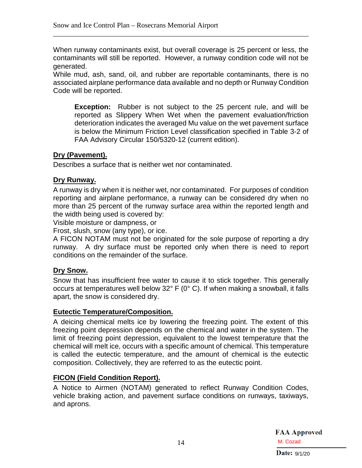When runway contaminants exist, but overall coverage is 25 percent or less, the contaminants will still be reported. However, a runway condition code will not be generated.

\_\_\_\_\_\_\_\_\_\_\_\_\_\_\_\_\_\_\_\_\_\_\_\_\_\_\_\_\_\_\_\_\_\_\_\_\_\_\_\_\_\_\_\_\_\_\_\_\_\_\_\_\_\_\_\_\_\_\_\_\_\_\_\_\_\_\_\_\_\_\_\_

While mud, ash, sand, oil, and rubber are reportable contaminants, there is no associated airplane performance data available and no depth or Runway Condition Code will be reported.

**Exception:** Rubber is not subject to the 25 percent rule, and will be reported as Slippery When Wet when the pavement evaluation/friction deterioration indicates the averaged Mu value on the wet pavement surface is below the Minimum Friction Level classification specified in Table 3-2 of FAA Advisory Circular 150/5320-12 (current edition).

#### **Dry (Pavement).**

Describes a surface that is neither wet nor contaminated.

#### **Dry Runway.**

A runway is dry when it is neither wet, nor contaminated. For purposes of condition reporting and airplane performance, a runway can be considered dry when no more than 25 percent of the runway surface area within the reported length and the width being used is covered by:

Visible moisture or dampness, or

Frost, slush, snow (any type), or ice.

A FICON NOTAM must not be originated for the sole purpose of reporting a dry runway. A dry surface must be reported only when there is need to report conditions on the remainder of the surface.

#### **Dry Snow.**

Snow that has insufficient free water to cause it to stick together. This generally occurs at temperatures well below 32° F (0° C). If when making a snowball, it falls apart, the snow is considered dry.

#### **Eutectic Temperature/Composition.**

A deicing chemical melts ice by lowering the freezing point. The extent of this freezing point depression depends on the chemical and water in the system. The limit of freezing point depression, equivalent to the lowest temperature that the chemical will melt ice, occurs with a specific amount of chemical. This temperature is called the eutectic temperature, and the amount of chemical is the eutectic composition. Collectively, they are referred to as the eutectic point.

#### **FICON (Field Condition Report).**

A Notice to Airmen (NOTAM) generated to reflect Runway Condition Codes, vehicle braking action, and pavement surface conditions on runways, taxiways, and aprons.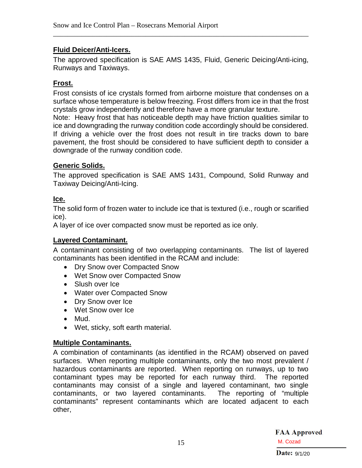#### **Fluid Deicer/Anti-Icers.**

The approved specification is SAE AMS 1435, Fluid, Generic Deicing/Anti-icing, Runways and Taxiways.

\_\_\_\_\_\_\_\_\_\_\_\_\_\_\_\_\_\_\_\_\_\_\_\_\_\_\_\_\_\_\_\_\_\_\_\_\_\_\_\_\_\_\_\_\_\_\_\_\_\_\_\_\_\_\_\_\_\_\_\_\_\_\_\_\_\_\_\_\_\_\_\_

#### **Frost.**

Frost consists of ice crystals formed from airborne moisture that condenses on a surface whose temperature is below freezing. Frost differs from ice in that the frost crystals grow independently and therefore have a more granular texture.

Note: Heavy frost that has noticeable depth may have friction qualities similar to ice and downgrading the runway condition code accordingly should be considered. If driving a vehicle over the frost does not result in tire tracks down to bare pavement, the frost should be considered to have sufficient depth to consider a downgrade of the runway condition code.

#### **Generic Solids.**

The approved specification is SAE AMS 1431, Compound, Solid Runway and Taxiway Deicing/Anti-Icing.

#### **Ice.**

The solid form of frozen water to include ice that is textured (i.e., rough or scarified ice).

A layer of ice over compacted snow must be reported as ice only.

#### **Layered Contaminant.**

A contaminant consisting of two overlapping contaminants. The list of layered contaminants has been identified in the RCAM and include:

- Dry Snow over Compacted Snow
- Wet Snow over Compacted Snow
- Slush over Ice
- Water over Compacted Snow
- Dry Snow over Ice
- Wet Snow over Ice
- Mud.
- Wet, sticky, soft earth material.

#### **Multiple Contaminants.**

A combination of contaminants (as identified in the RCAM) observed on paved surfaces. When reporting multiple contaminants, only the two most prevalent / hazardous contaminants are reported. When reporting on runways, up to two contaminant types may be reported for each runway third. The reported contaminants may consist of a single and layered contaminant, two single contaminants, or two layered contaminants. The reporting of "multiple contaminants" represent contaminants which are located adjacent to each other,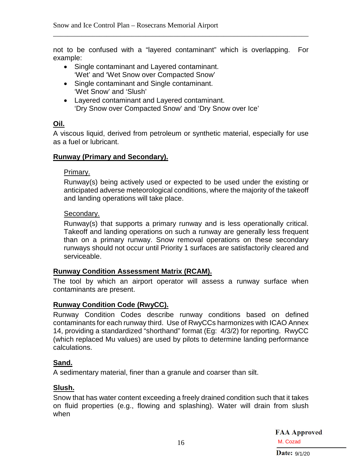not to be confused with a "layered contaminant" which is overlapping. For example:

\_\_\_\_\_\_\_\_\_\_\_\_\_\_\_\_\_\_\_\_\_\_\_\_\_\_\_\_\_\_\_\_\_\_\_\_\_\_\_\_\_\_\_\_\_\_\_\_\_\_\_\_\_\_\_\_\_\_\_\_\_\_\_\_\_\_\_\_\_\_\_\_

- Single contaminant and Layered contaminant. 'Wet' and 'Wet Snow over Compacted Snow'
- Single contaminant and Single contaminant. 'Wet Snow' and 'Slush'
- Layered contaminant and Layered contaminant. 'Dry Snow over Compacted Snow' and 'Dry Snow over Ice'

#### **Oil.**

A viscous liquid, derived from petroleum or synthetic material, especially for use as a fuel or lubricant.

#### **Runway (Primary and Secondary).**

#### Primary.

Runway(s) being actively used or expected to be used under the existing or anticipated adverse meteorological conditions, where the majority of the takeoff and landing operations will take place.

#### Secondary.

Runway(s) that supports a primary runway and is less operationally critical. Takeoff and landing operations on such a runway are generally less frequent than on a primary runway. Snow removal operations on these secondary runways should not occur until Priority 1 surfaces are satisfactorily cleared and serviceable.

#### **Runway Condition Assessment Matrix (RCAM).**

The tool by which an airport operator will assess a runway surface when contaminants are present.

#### **Runway Condition Code (RwyCC).**

Runway Condition Codes describe runway conditions based on defined contaminants for each runway third. Use of RwyCCs harmonizes with ICAO Annex 14, providing a standardized "shorthand" format (Eg: 4/3/2) for reporting. RwyCC (which replaced Mu values) are used by pilots to determine landing performance calculations.

#### **Sand.**

A sedimentary material, finer than a granule and coarser than silt.

#### **Slush.**

Snow that has water content exceeding a freely drained condition such that it takes on fluid properties (e.g., flowing and splashing). Water will drain from slush when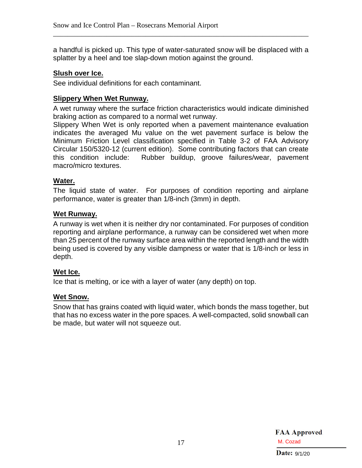a handful is picked up. This type of water-saturated snow will be displaced with a splatter by a heel and toe slap-down motion against the ground.

\_\_\_\_\_\_\_\_\_\_\_\_\_\_\_\_\_\_\_\_\_\_\_\_\_\_\_\_\_\_\_\_\_\_\_\_\_\_\_\_\_\_\_\_\_\_\_\_\_\_\_\_\_\_\_\_\_\_\_\_\_\_\_\_\_\_\_\_\_\_\_\_

#### **Slush over Ice.**

See individual definitions for each contaminant.

#### **Slippery When Wet Runway.**

A wet runway where the surface friction characteristics would indicate diminished braking action as compared to a normal wet runway.

Slippery When Wet is only reported when a pavement maintenance evaluation indicates the averaged Mu value on the wet pavement surface is below the Minimum Friction Level classification specified in Table 3-2 of FAA Advisory Circular 150/5320-12 (current edition). Some contributing factors that can create this condition include: Rubber buildup, groove failures/wear, pavement macro/micro textures.

#### **Water.**

The liquid state of water. For purposes of condition reporting and airplane performance, water is greater than 1/8-inch (3mm) in depth.

#### **Wet Runway.**

A runway is wet when it is neither dry nor contaminated. For purposes of condition reporting and airplane performance, a runway can be considered wet when more than 25 percent of the runway surface area within the reported length and the width being used is covered by any visible dampness or water that is 1/8-inch or less in depth.

#### **Wet Ice.**

Ice that is melting, or ice with a layer of water (any depth) on top.

#### **Wet Snow.**

Snow that has grains coated with liquid water, which bonds the mass together, but that has no excess water in the pore spaces. A well-compacted, solid snowball can be made, but water will not squeeze out.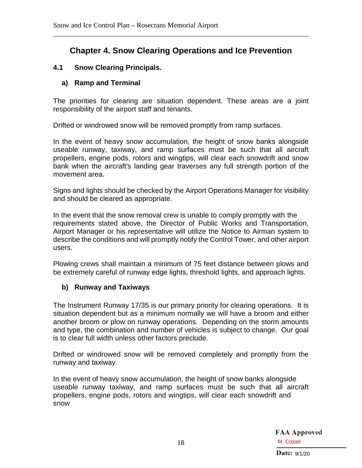## **Chapter 4. Snow Clearing Operations and Ice Prevention**

<span id="page-20-0"></span>\_\_\_\_\_\_\_\_\_\_\_\_\_\_\_\_\_\_\_\_\_\_\_\_\_\_\_\_\_\_\_\_\_\_\_\_\_\_\_\_\_\_\_\_\_\_\_\_\_\_\_\_\_\_\_\_\_\_\_\_\_\_\_\_\_\_\_\_\_\_\_\_

#### <span id="page-20-2"></span><span id="page-20-1"></span>**4.1 Snow Clearing Principals.**

#### **a) Ramp and Terminal**

The priorities for clearing are situation dependent. These areas are a joint responsibility of the airport staff and tenants.

Drifted or windrowed snow will be removed promptly from ramp surfaces.

In the event of heavy snow accumulation, the height of snow banks alongside useable runway, taxiway, and ramp surfaces must be such that all aircraft propellers, engine pods, rotors and wingtips, will clear each snowdrift and snow bank when the aircraft's landing gear traverses any full strength portion of the movement area.

Signs and lights should be checked by the Airport Operations Manager for visibility and should be cleared as appropriate.

In the event that the snow removal crew is unable to comply promptly with the requirements stated above, the Director of Public Works and Transportation, Airport Manager or his representative will utilize the Notice to Airman system to describe the conditions and will promptly notify the Control Tower, and other airport users.

Plowing crews shall maintain a minimum of 75 feet distance between plows and be extremely careful of runway edge lights, threshold lights, and approach lights.

#### <span id="page-20-3"></span>**b) Runway and Taxiways**

The Instrument Runway 17/35 is our primary priority for clearing operations. It is situation dependent but as a minimum normally we will have a broom and either another broom or plow on runway operations. Depending on the storm amounts and type, the combination and number of vehicles is subject to change. Our goal is to clear full width unless other factors preclude.

Drifted or windrowed snow will be removed completely and promptly from the runway and taxiway.

In the event of heavy snow accumulation, the height of snow banks alongside useable runway taxiway, and ramp surfaces must be such that all aircraft propellers, engine pods, rotors and wingtips, will clear each snowdrift and snow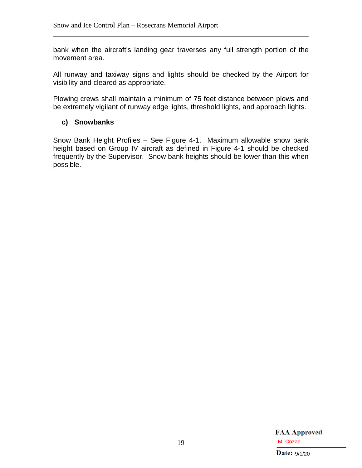bank when the aircraft's landing gear traverses any full strength portion of the movement area.

\_\_\_\_\_\_\_\_\_\_\_\_\_\_\_\_\_\_\_\_\_\_\_\_\_\_\_\_\_\_\_\_\_\_\_\_\_\_\_\_\_\_\_\_\_\_\_\_\_\_\_\_\_\_\_\_\_\_\_\_\_\_\_\_\_\_\_\_\_\_\_\_

All runway and taxiway signs and lights should be checked by the Airport for visibility and cleared as appropriate.

Plowing crews shall maintain a minimum of 75 feet distance between plows and be extremely vigilant of runway edge lights, threshold lights, and approach lights.

#### <span id="page-21-0"></span>**c) Snowbanks**

Snow Bank Height Profiles – See Figure 4-1. Maximum allowable snow bank height based on Group IV aircraft as defined in Figure 4-1 should be checked frequently by the Supervisor. Snow bank heights should be lower than this when possible.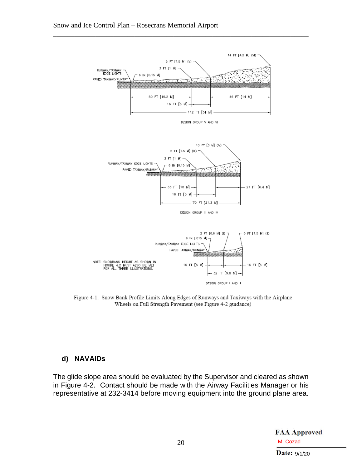

\_\_\_\_\_\_\_\_\_\_\_\_\_\_\_\_\_\_\_\_\_\_\_\_\_\_\_\_\_\_\_\_\_\_\_\_\_\_\_\_\_\_\_\_\_\_\_\_\_\_\_\_\_\_\_\_\_\_\_\_\_\_\_\_\_\_\_\_\_\_\_\_

Figure 4-1. Snow Bank Profile Limits Along Edges of Runways and Taxiways with the Airplane Wheels on Full Strength Pavement (see Figure 4-2 guidance)

#### <span id="page-22-0"></span>**d) NAVAIDs**

The glide slope area should be evaluated by the Supervisor and cleared as shown in Figure 4-2. Contact should be made with the Airway Facilities Manager or his representative at 232-3414 before moving equipment into the ground plane area.

> **FAA Approved** M. Cozad<br>Date:  $9/1/20$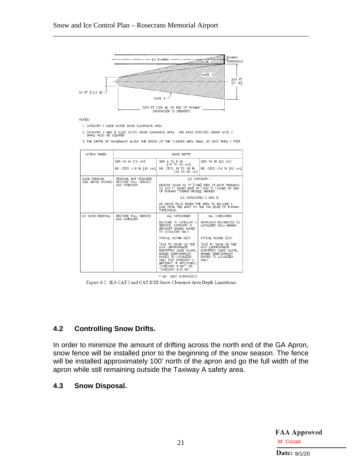

\_\_\_\_\_\_\_\_\_\_\_\_\_\_\_\_\_\_\_\_\_\_\_\_\_\_\_\_\_\_\_\_\_\_\_\_\_\_\_\_\_\_\_\_\_\_\_\_\_\_\_\_\_\_\_\_\_\_\_\_\_\_\_\_\_\_\_\_\_\_\_\_

NOTES:

1. CATEGORY I GLIDE SLOPE SNOW CLEARANCE AREA.

2. CATEGORY II AND III GLIDE SLOPE SNOW CLEARANCE AREA. THE AREA DEPICTED UNDER NOTE 1 SHALL ALSO BE CLEARED.

3. THE DEPTH OF SNOWBANKS ALONG THE EDGES OF THE CLEARED AREA SHALL BE LESS THEN 2 FEET.

| ACTION TAKEN                       | SNOW DEPTH                                                    |                                                                                                                                                                                                                       |                                                                                                                            |  |  |  |
|------------------------------------|---------------------------------------------------------------|-----------------------------------------------------------------------------------------------------------------------------------------------------------------------------------------------------------------------|----------------------------------------------------------------------------------------------------------------------------|--|--|--|
|                                    | SBR <6 IN [15 cm]                                             | SBR 6 TO 8 IN<br>[15 T0 20 cm]                                                                                                                                                                                        | SBR >8 IN [20 cm]                                                                                                          |  |  |  |
|                                    | NR. CEGS <18 IN [45 cm]]                                      | NR. CEGS 18 TO 24 IN<br>[45 TO 60 cm]                                                                                                                                                                                 | NR. CEGS <24 IN [60 cm]                                                                                                    |  |  |  |
| SNOW REMOVAL<br>(SEE ABOVE FIGURE) | REMOVAL NOT REQUIRED<br>RESTORE FULL SERVICE<br>AND CATEGORY. | ILS CATEGORY I                                                                                                                                                                                                        |                                                                                                                            |  |  |  |
|                                    |                                                               | REMOVE SNOW 50 FT [15M] WIDE AT MAST WIDENING<br>TO 200 FT [60M] WIDE AT 1000 FT [300M] OR END<br>OF RUNWAY TOWARD MIDDLE AMRKER.                                                                                     |                                                                                                                            |  |  |  |
|                                    |                                                               | ILS CATEGORIES II AND III<br>AS ABOVE PLUS WIDEN THE AREA TO INCLUDE A<br>LINE FROM THE MAST TO THE FAR EDGE OF RUNWAY<br>THRESHOLD.                                                                                  |                                                                                                                            |  |  |  |
|                                    |                                                               |                                                                                                                                                                                                                       |                                                                                                                            |  |  |  |
| NO SNOW REMOVAL                    | RESTORE FULL SERVICE<br>AND CATEGORY.                         | ALL CATEGORIES<br>ALL CATEGORIES                                                                                                                                                                                      |                                                                                                                            |  |  |  |
|                                    |                                                               | RESTORE TO CATEGORY I<br>SERVICE, CATEGORY D<br>AIRCRAFT MINIMA RAISED<br>TO LOCALIZER ONLY.                                                                                                                          | APPROACH RESTRICTED TO<br>LOCALIZER ONLY MINIMA.                                                                           |  |  |  |
|                                    |                                                               | TYPICAL NOTAM TEXT:                                                                                                                                                                                                   | TYPICAL NOTAM TEXT:                                                                                                        |  |  |  |
|                                    |                                                               | "DUE TO SNOW ON THE<br>IXXX (APPROPRIATE<br>IDENTIFER) GLIDE SLOPE,<br>MINIMA TEMPORARILRY<br>RAISED TO LOCALIZER<br>ONLY FOR CATEGORY D<br>AIRCRAFT" IF APPLICABLE.<br>"CATEGORY II NA"* OR<br>"CATEGORY   /    NA". | "DUE TO SNOW ON THE<br>IXXX (APPROPRIATE)<br>IDENTIFER) GUDE SLOPE,<br>MINIMA TEMPORARILRY<br>RAISED TO LOCALIZER<br>ONLY. |  |  |  |
|                                    |                                                               | (NOT AUTHORIZED)<br>* NA                                                                                                                                                                                              |                                                                                                                            |  |  |  |

Figure 4-2. ILS CAT I and CAT II/III Snow Clearance Area Depth Limitations

#### <span id="page-23-0"></span>**4.2 Controlling Snow Drifts.**

In order to minimize the amount of drifting across the north end of the GA Apron, snow fence will be installed prior to the beginning of the snow season. The fence will be installed approximately 100' north of the apron and go the full width of the apron while still remaining outside the Taxiway A safety area.

#### <span id="page-23-1"></span>**4.3 Snow Disposal.**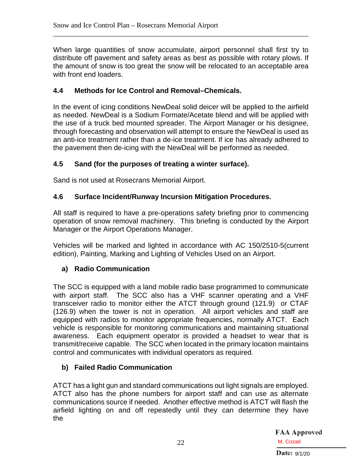When large quantities of snow accumulate, airport personnel shall first try to distribute off pavement and safety areas as best as possible with rotary plows. If the amount of snow is too great the snow will be relocated to an acceptable area with front end loaders.

\_\_\_\_\_\_\_\_\_\_\_\_\_\_\_\_\_\_\_\_\_\_\_\_\_\_\_\_\_\_\_\_\_\_\_\_\_\_\_\_\_\_\_\_\_\_\_\_\_\_\_\_\_\_\_\_\_\_\_\_\_\_\_\_\_\_\_\_\_\_\_\_

#### <span id="page-24-0"></span>**4.4 Methods for Ice Control and Removal–Chemicals.**

In the event of icing conditions NewDeal solid deicer will be applied to the airfield as needed. NewDeal is a Sodium Formate/Acetate blend and will be applied with the use of a truck bed mounted spreader. The Airport Manager or his designee, through forecasting and observation will attempt to ensure the NewDeal is used as an anti-ice treatment rather than a de-ice treatment. If ice has already adhered to the pavement then de-icing with the NewDeal will be performed as needed.

#### <span id="page-24-1"></span>**4.5 Sand (for the purposes of treating a winter surface).**

Sand is not used at Rosecrans Memorial Airport.

#### <span id="page-24-2"></span>**4.6 Surface Incident/Runway Incursion Mitigation Procedures.**

All staff is required to have a pre-operations safety briefing prior to commencing operation of snow removal machinery. This briefing is conducted by the Airport Manager or the Airport Operations Manager.

Vehicles will be marked and lighted in accordance with AC 150/2510-5(current edition), Painting, Marking and Lighting of Vehicles Used on an Airport.

#### <span id="page-24-3"></span>**a) Radio Communication**

The SCC is equipped with a land mobile radio base programmed to communicate with airport staff. The SCC also has a VHF scanner operating and a VHF transceiver radio to monitor either the ATCT through ground (121.9) or CTAF (126.9) when the tower is not in operation. All airport vehicles and staff are equipped with radios to monitor appropriate frequencies, normally ATCT. Each vehicle is responsible for monitoring communications and maintaining situational awareness. Each equipment operator is provided a headset to wear that is transmit/receive capable. The SCC when located in the primary location maintains control and communicates with individual operators as required.

#### <span id="page-24-4"></span>**b) Failed Radio Communication**

ATCT has a light gun and standard communications out light signals are employed. ATCT also has the phone numbers for airport staff and can use as alternate communications source if needed. Another effective method is ATCT will flash the airfield lighting on and off repeatedly until they can determine they have the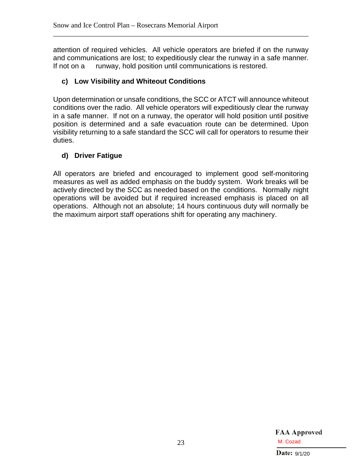attention of required vehicles. All vehicle operators are briefed if on the runway and communications are lost; to expeditiously clear the runway in a safe manner. If not on a runway, hold position until communications is restored.

\_\_\_\_\_\_\_\_\_\_\_\_\_\_\_\_\_\_\_\_\_\_\_\_\_\_\_\_\_\_\_\_\_\_\_\_\_\_\_\_\_\_\_\_\_\_\_\_\_\_\_\_\_\_\_\_\_\_\_\_\_\_\_\_\_\_\_\_\_\_\_\_

#### <span id="page-25-0"></span>**c) Low Visibility and Whiteout Conditions**

Upon determination or unsafe conditions, the SCC or ATCT will announce whiteout conditions over the radio. All vehicle operators will expeditiously clear the runway in a safe manner. If not on a runway, the operator will hold position until positive position is determined and a safe evacuation route can be determined. Upon visibility returning to a safe standard the SCC will call for operators to resume their duties.

#### <span id="page-25-1"></span>**d) Driver Fatigue**

All operators are briefed and encouraged to implement good self-monitoring measures as well as added emphasis on the buddy system. Work breaks will be actively directed by the SCC as needed based on the conditions. Normally night operations will be avoided but if required increased emphasis is placed on all operations. Although not an absolute; 14 hours continuous duty will normally be the maximum airport staff operations shift for operating any machinery.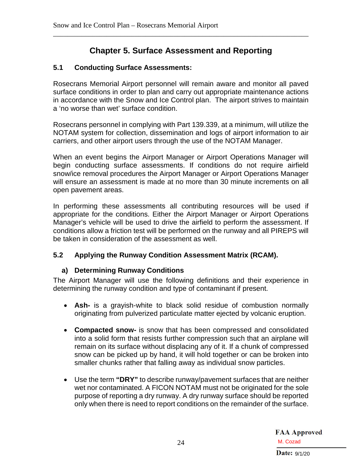## **Chapter 5. Surface Assessment and Reporting**

<span id="page-26-0"></span>\_\_\_\_\_\_\_\_\_\_\_\_\_\_\_\_\_\_\_\_\_\_\_\_\_\_\_\_\_\_\_\_\_\_\_\_\_\_\_\_\_\_\_\_\_\_\_\_\_\_\_\_\_\_\_\_\_\_\_\_\_\_\_\_\_\_\_\_\_\_\_\_

#### <span id="page-26-1"></span>**5.1 Conducting Surface Assessments:**

Rosecrans Memorial Airport personnel will remain aware and monitor all paved surface conditions in order to plan and carry out appropriate maintenance actions in accordance with the Snow and Ice Control plan. The airport strives to maintain a 'no worse than wet' surface condition.

Rosecrans personnel in complying with Part 139.339, at a minimum, will utilize the NOTAM system for collection, dissemination and logs of airport information to air carriers, and other airport users through the use of the NOTAM Manager.

When an event begins the Airport Manager or Airport Operations Manager will begin conducting surface assessments. If conditions do not require airfield snow/ice removal procedures the Airport Manager or Airport Operations Manager will ensure an assessment is made at no more than 30 minute increments on all open pavement areas.

In performing these assessments all contributing resources will be used if appropriate for the conditions. Either the Airport Manager or Airport Operations Manager's vehicle will be used to drive the airfield to perform the assessment. If conditions allow a friction test will be performed on the runway and all PIREPS will be taken in consideration of the assessment as well.

#### <span id="page-26-3"></span><span id="page-26-2"></span>**5.2 Applying the Runway Condition Assessment Matrix (RCAM).**

#### **a) Determining Runway Conditions**

The Airport Manager will use the following definitions and their experience in determining the runway condition and type of contaminant if present.

- **Ash-** is a grayish-white to black solid residue of combustion normally originating from pulverized particulate matter ejected by volcanic eruption.
- **Compacted snow-** is snow that has been compressed and consolidated into a solid form that resists further compression such that an airplane will remain on its surface without displacing any of it. If a chunk of compressed snow can be picked up by hand, it will hold together or can be broken into smaller chunks rather that falling away as individual snow particles.
- Use the term **"DRY"** to describe runway/pavement surfaces that are neither wet nor contaminated. A FICON NOTAM must not be originated for the sole purpose of reporting a dry runway. A dry runway surface should be reported only when there is need to report conditions on the remainder of the surface.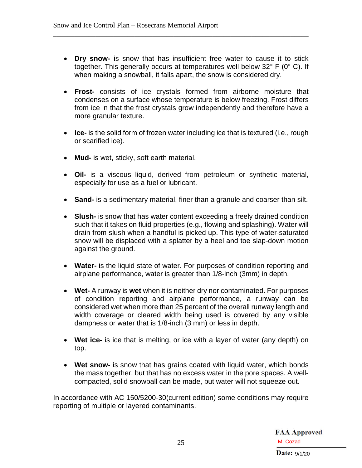• **Dry snow-** is snow that has insufficient free water to cause it to stick together. This generally occurs at temperatures well below 32° F (0° C). If when making a snowball, it falls apart, the snow is considered dry.

\_\_\_\_\_\_\_\_\_\_\_\_\_\_\_\_\_\_\_\_\_\_\_\_\_\_\_\_\_\_\_\_\_\_\_\_\_\_\_\_\_\_\_\_\_\_\_\_\_\_\_\_\_\_\_\_\_\_\_\_\_\_\_\_\_\_\_\_\_\_\_\_

- **Frost-** consists of ice crystals formed from airborne moisture that condenses on a surface whose temperature is below freezing. Frost differs from ice in that the frost crystals grow independently and therefore have a more granular texture.
- **Ice-** is the solid form of frozen water including ice that is textured (i.e., rough or scarified ice).
- **Mud-** is wet, sticky, soft earth material.
- **Oil-** is a viscous liquid, derived from petroleum or synthetic material, especially for use as a fuel or lubricant.
- **Sand-** is a sedimentary material, finer than a granule and coarser than silt.
- **Slush-** is snow that has water content exceeding a freely drained condition such that it takes on fluid properties (e.g., flowing and splashing). Water will drain from slush when a handful is picked up. This type of water-saturated snow will be displaced with a splatter by a heel and toe slap-down motion against the ground.
- **Water-** is the liquid state of water. For purposes of condition reporting and airplane performance, water is greater than 1/8-inch (3mm) in depth.
- **Wet-** A runway is **wet** when it is neither dry nor contaminated. For purposes of condition reporting and airplane performance, a runway can be considered wet when more than 25 percent of the overall runway length and width coverage or cleared width being used is covered by any visible dampness or water that is 1/8-inch (3 mm) or less in depth.
- **Wet ice-** is ice that is melting, or ice with a layer of water (any depth) on top.
- **Wet snow-** is snow that has grains coated with liquid water, which bonds the mass together, but that has no excess water in the pore spaces. A wellcompacted, solid snowball can be made, but water will not squeeze out.

In accordance with AC 150/5200-30(current edition) some conditions may require reporting of multiple or layered contaminants.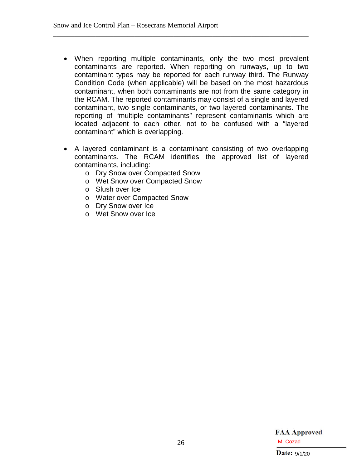• When reporting multiple contaminants, only the two most prevalent contaminants are reported. When reporting on runways, up to two contaminant types may be reported for each runway third. The Runway Condition Code (when applicable) will be based on the most hazardous contaminant, when both contaminants are not from the same category in the RCAM. The reported contaminants may consist of a single and layered contaminant, two single contaminants, or two layered contaminants. The reporting of "multiple contaminants" represent contaminants which are located adjacent to each other, not to be confused with a "layered contaminant" which is overlapping.

\_\_\_\_\_\_\_\_\_\_\_\_\_\_\_\_\_\_\_\_\_\_\_\_\_\_\_\_\_\_\_\_\_\_\_\_\_\_\_\_\_\_\_\_\_\_\_\_\_\_\_\_\_\_\_\_\_\_\_\_\_\_\_\_\_\_\_\_\_\_\_\_

- A layered contaminant is a contaminant consisting of two overlapping contaminants. The RCAM identifies the approved list of layered contaminants, including:
	- o Dry Snow over Compacted Snow
	- o Wet Snow over Compacted Snow
	- o Slush over Ice
	- o Water over Compacted Snow
	- o Dry Snow over Ice
	- o Wet Snow over Ice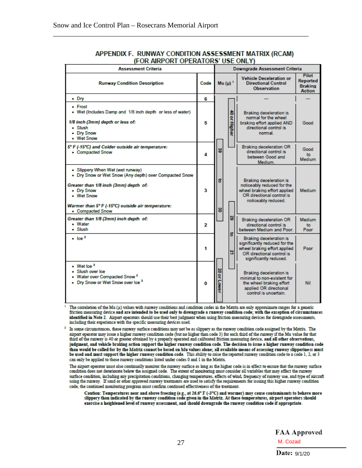| $5.5.7$ and $5.5.7$ $5.7.7.7$ and $5.7.7$<br><b>Assessment Criteria</b>                                                                                                                                                                  |   | <b>Downgrade Assessment Criteria</b> |                     |                                                                                                                                                        |                                                                                                                    |                       |
|------------------------------------------------------------------------------------------------------------------------------------------------------------------------------------------------------------------------------------------|---|--------------------------------------|---------------------|--------------------------------------------------------------------------------------------------------------------------------------------------------|--------------------------------------------------------------------------------------------------------------------|-----------------------|
| Code<br><b>Runway Condition Description</b>                                                                                                                                                                                              |   | Mu $(\mu)^{-1}$                      |                     | <b>Vehicle Deceleration or</b><br><b>Directional Control</b><br><b>Observation</b>                                                                     | <b>Pilot</b><br><b>Reported</b><br><b>Braking</b><br><b>Action</b>                                                 |                       |
| $\bullet$ Dry                                                                                                                                                                                                                            |   |                                      |                     |                                                                                                                                                        |                                                                                                                    |                       |
| • Frost<br>. Wet (Includes Damp and 1/8 inch depth or less of water)<br>1/8 inch (3mm) depth or less of:<br>• Slush<br>• Dry Snow<br>• Wet Snow                                                                                          | 5 |                                      | 융<br>or Higher      |                                                                                                                                                        | Braking deceleration is<br>normal for the wheel<br>braking effort applied AND<br>directional control is<br>normal. | Good                  |
| 5° F (-15°C) and Colder outside air temperature:<br>• Compacted Snow                                                                                                                                                                     | 4 | 5                                    |                     | <b>Braking deceleration OR</b><br>directional control is<br>between Good and<br>Medium.                                                                | Good<br>to.<br>Medium                                                                                              |                       |
| • Slippery When Wet (wet runway)<br>. Dry Snow or Wet Snow (Any depth) over Compacted Snow<br>Greater than 1/8 inch (3mm) depth of:<br>• Dry Snow<br>• Wet Snow<br>Warmer than 5° F (-15°C) outside air temperature:<br>• Compacted Snow | 3 | 8<br>g                               | 29                  | Braking deceleration is<br>noticeably reduced for the<br>wheel braking effort applied<br>OR directional control is<br>noticeably reduced.              | Medium                                                                                                             |                       |
| Greater than 1/8 (3mm) inch depth of:<br>• Water<br>• Slush                                                                                                                                                                              | 2 |                                      |                     |                                                                                                                                                        | <b>Braking deceleration OR</b><br>directional control is<br>between Medium and Poor.                               | Medium<br>to.<br>Poor |
| $\cdot$ Ice <sup>2</sup>                                                                                                                                                                                                                 | 1 |                                      | $\overline{5}$<br>졒 | <b>Braking deceleration is</b><br>significantly reduced for the<br>wheel braking effort applied<br>OR directional control is<br>significantly reduced. | Poor                                                                                                               |                       |
| $\bullet$ Wet loe $^2$<br>· Slush over lce<br>• Water over Compacted Snow 2<br>• Dry Snow or Wet Snow over Ice 2                                                                                                                         | 0 | 20 or Lowe                           |                     | <b>Braking deceleration is</b><br>minimal to non-existent for<br>the wheel braking effort<br>applied OR directional<br>control is uncertain.           | Nil                                                                                                                |                       |

#### APPENDIX F. RUNWAY CONDITION ASSESSMENT MATRIX (RCAM) **(FOR AIRPORT OPERATORS' LISE ONLY)**

\_\_\_\_\_\_\_\_\_\_\_\_\_\_\_\_\_\_\_\_\_\_\_\_\_\_\_\_\_\_\_\_\_\_\_\_\_\_\_\_\_\_\_\_\_\_\_\_\_\_\_\_\_\_\_\_\_\_\_\_\_\_\_\_\_\_\_\_\_\_\_\_

The correlation of the Mu (µ) values with runway conditions and condition codes in the Matrix are only approximate ranges for a generic friction measuring device and are intended to be used only to downgrade a runway condition code; with the exception of circumstances identified in Note 2. Airport operators should use their best judgment when using friction measuring devices for downgrade assessments, including their experience with the specific measuring devices used.

<sup>2</sup> In some circumstances, these runway surface conditions may not be as slippery as the runway condition code assigned by the Matrix. The airport operator may issue a higher runway condition code (but no higher than code 3) for each third of the runway if the Mu value for that third of the runway is 40 or greater obtained by a properly operated and calibrated friction measuring device, and all other observations, judgment, and vehicle braking action support the higher runway condition code. The decision to issue a higher runway condition code than would be called for by the Matrix cannot be based on Mu values alone; all available means of assessing runway slipperiness must be used and must support the higher runway condition code. This ability to raise the reported runway condition code to a code 1, 2, or 3 can only be applied to those runway conditions listed under codes 0 and 1 in the Matrix.

The airport operator must also continually monitor the runway surface as long as the higher code is in effect to ensure that the runway surface condition does not deteriorate below the assigned code. The extent of monitoring must consider all variables that may affect the runway surface condition, including any precipitation conditions, changing temperatures, effects of wind, frequency of runway use, and type of aircraft using the runway. If sand or other approved runway treatments are used to satisfy the requirements for issuing this higher runway condition code, the continued monitoring program must confirm continued effectiveness of the treatment.

Caution: Temperatures near and above freezing (e.g., at 26.6° F (-3°C) and warmer) may cause contaminants to behave more<br>slippery than indicated by the runway condition code given in the Matrix. At these temperatures, airp exercise a heightened level of runway assessment, and should downgrade the runway condition code if appropriate.

> **FAA Approved** M. Cozad<br>Date:  $9/1/20$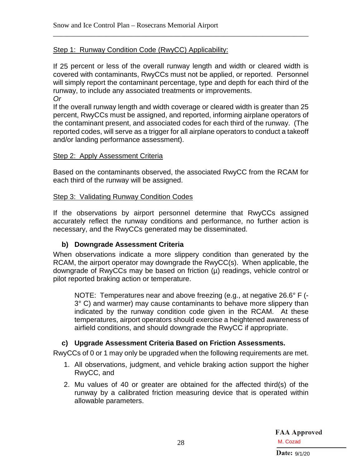#### Step 1: Runway Condition Code (RwyCC) Applicability:

If 25 percent or less of the overall runway length and width or cleared width is covered with contaminants, RwyCCs must not be applied, or reported. Personnel will simply report the contaminant percentage, type and depth for each third of the runway, to include any associated treatments or improvements. *Or*

\_\_\_\_\_\_\_\_\_\_\_\_\_\_\_\_\_\_\_\_\_\_\_\_\_\_\_\_\_\_\_\_\_\_\_\_\_\_\_\_\_\_\_\_\_\_\_\_\_\_\_\_\_\_\_\_\_\_\_\_\_\_\_\_\_\_\_\_\_\_\_\_

If the overall runway length and width coverage or cleared width is greater than 25 percent, RwyCCs must be assigned, and reported, informing airplane operators of the contaminant present, and associated codes for each third of the runway. (The reported codes, will serve as a trigger for all airplane operators to conduct a takeoff and/or landing performance assessment).

#### Step 2: Apply Assessment Criteria

Based on the contaminants observed, the associated RwyCC from the RCAM for each third of the runway will be assigned.

#### Step 3: Validating Runway Condition Codes

If the observations by airport personnel determine that RwyCCs assigned accurately reflect the runway conditions and performance, no further action is necessary, and the RwyCCs generated may be disseminated.

#### <span id="page-30-0"></span>**b) Downgrade Assessment Criteria**

When observations indicate a more slippery condition than generated by the RCAM, the airport operator may downgrade the RwyCC(s). When applicable, the downgrade of RwyCCs may be based on friction (µ) readings, vehicle control or pilot reported braking action or temperature.

NOTE: Temperatures near and above freezing (e.g., at negative 26.6° F (- 3° C) and warmer) may cause contaminants to behave more slippery than indicated by the runway condition code given in the RCAM. At these temperatures, airport operators should exercise a heightened awareness of airfield conditions, and should downgrade the RwyCC if appropriate.

#### <span id="page-30-1"></span>**c) Upgrade Assessment Criteria Based on Friction Assessments.**

RwyCCs of 0 or 1 may only be upgraded when the following requirements are met.

- 1. All observations, judgment, and vehicle braking action support the higher RwyCC, and
- 2. Mu values of 40 or greater are obtained for the affected third(s) of the runway by a calibrated friction measuring device that is operated within allowable parameters.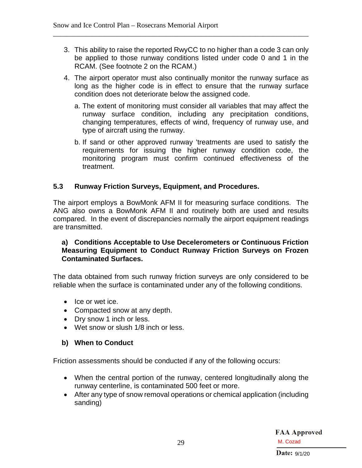3. This ability to raise the reported RwyCC to no higher than a code 3 can only be applied to those runway conditions listed under code 0 and 1 in the RCAM. (See footnote 2 on the RCAM.)

\_\_\_\_\_\_\_\_\_\_\_\_\_\_\_\_\_\_\_\_\_\_\_\_\_\_\_\_\_\_\_\_\_\_\_\_\_\_\_\_\_\_\_\_\_\_\_\_\_\_\_\_\_\_\_\_\_\_\_\_\_\_\_\_\_\_\_\_\_\_\_\_

- 4. The airport operator must also continually monitor the runway surface as long as the higher code is in effect to ensure that the runway surface condition does not deteriorate below the assigned code.
	- a. The extent of monitoring must consider all variables that may affect the runway surface condition, including any precipitation conditions, changing temperatures, effects of wind, frequency of runway use, and type of aircraft using the runway.
	- b. If sand or other approved runway 'treatments are used to satisfy the requirements for issuing the higher runway condition code, the monitoring program must confirm continued effectiveness of the treatment.

#### <span id="page-31-0"></span>**5.3 Runway Friction Surveys, Equipment, and Procedures.**

The airport employs a BowMonk AFM II for measuring surface conditions. The ANG also owns a BowMonk AFM II and routinely both are used and results compared. In the event of discrepancies normally the airport equipment readings are transmitted.

#### <span id="page-31-1"></span>**a) Conditions Acceptable to Use Decelerometers or Continuous Friction Measuring Equipment to Conduct Runway Friction Surveys on Frozen Contaminated Surfaces.**

The data obtained from such runway friction surveys are only considered to be reliable when the surface is contaminated under any of the following conditions.

- Ice or wet ice.
- Compacted snow at any depth.
- Dry snow 1 inch or less.
- Wet snow or slush 1/8 inch or less.

#### <span id="page-31-2"></span>**b) When to Conduct**

Friction assessments should be conducted if any of the following occurs:

- When the central portion of the runway, centered longitudinally along the runway centerline, is contaminated 500 feet or more.
- After any type of snow removal operations or chemical application (including sanding)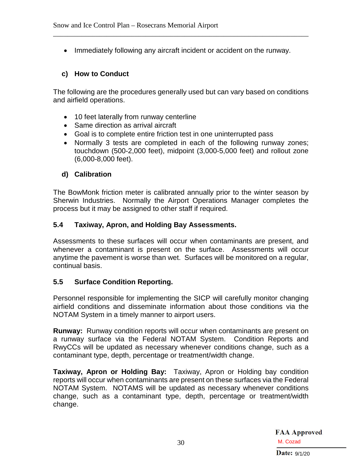• Immediately following any aircraft incident or accident on the runway.

\_\_\_\_\_\_\_\_\_\_\_\_\_\_\_\_\_\_\_\_\_\_\_\_\_\_\_\_\_\_\_\_\_\_\_\_\_\_\_\_\_\_\_\_\_\_\_\_\_\_\_\_\_\_\_\_\_\_\_\_\_\_\_\_\_\_\_\_\_\_\_\_

#### <span id="page-32-0"></span>**c) How to Conduct**

The following are the procedures generally used but can vary based on conditions and airfield operations.

- 10 feet laterally from runway centerline
- Same direction as arrival aircraft
- Goal is to complete entire friction test in one uninterrupted pass
- Normally 3 tests are completed in each of the following runway zones; touchdown (500-2,000 feet), midpoint (3,000-5,000 feet) and rollout zone (6,000-8,000 feet).

#### <span id="page-32-1"></span>**d) Calibration**

The BowMonk friction meter is calibrated annually prior to the winter season by Sherwin Industries. Normally the Airport Operations Manager completes the process but it may be assigned to other staff if required.

#### <span id="page-32-2"></span>**5.4 Taxiway, Apron, and Holding Bay Assessments.**

Assessments to these surfaces will occur when contaminants are present, and whenever a contaminant is present on the surface. Assessments will occur anytime the pavement is worse than wet. Surfaces will be monitored on a regular, continual basis.

#### <span id="page-32-3"></span>**5.5 Surface Condition Reporting.**

Personnel responsible for implementing the SICP will carefully monitor changing airfield conditions and disseminate information about those conditions via the NOTAM System in a timely manner to airport users.

**Runway:** Runway condition reports will occur when contaminants are present on a runway surface via the Federal NOTAM System. Condition Reports and RwyCCs will be updated as necessary whenever conditions change, such as a contaminant type, depth, percentage or treatment/width change.

**Taxiway, Apron or Holding Bay:** Taxiway, Apron or Holding bay condition reports will occur when contaminants are present on these surfaces via the Federal NOTAM System. NOTAMS will be updated as necessary whenever conditions change, such as a contaminant type, depth, percentage or treatment/width change.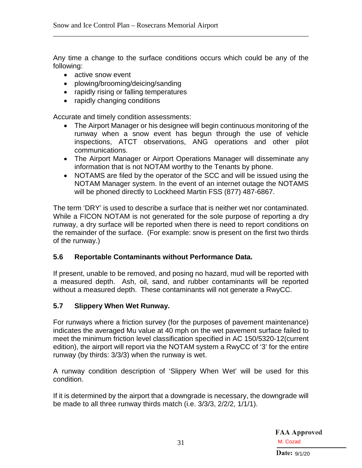Any time a change to the surface conditions occurs which could be any of the following:

\_\_\_\_\_\_\_\_\_\_\_\_\_\_\_\_\_\_\_\_\_\_\_\_\_\_\_\_\_\_\_\_\_\_\_\_\_\_\_\_\_\_\_\_\_\_\_\_\_\_\_\_\_\_\_\_\_\_\_\_\_\_\_\_\_\_\_\_\_\_\_\_

- active snow event
- plowing/brooming/deicing/sanding
- rapidly rising or falling temperatures
- rapidly changing conditions

Accurate and timely condition assessments:

- The Airport Manager or his designee will begin continuous monitoring of the runway when a snow event has begun through the use of vehicle inspections, ATCT observations, ANG operations and other pilot communications.
- The Airport Manager or Airport Operations Manager will disseminate any information that is not NOTAM worthy to the Tenants by phone.
- NOTAMS are filed by the operator of the SCC and will be issued using the NOTAM Manager system. In the event of an internet outage the NOTAMS will be phoned directly to Lockheed Martin FSS (877) 487-6867.

The term 'DRY' is used to describe a surface that is neither wet nor contaminated. While a FICON NOTAM is not generated for the sole purpose of reporting a dry runway, a dry surface will be reported when there is need to report conditions on the remainder of the surface. (For example: snow is present on the first two thirds of the runway.)

#### <span id="page-33-0"></span>**5.6 Reportable Contaminants without Performance Data.**

If present, unable to be removed, and posing no hazard, mud will be reported with a measured depth. Ash, oil, sand, and rubber contaminants will be reported without a measured depth. These contaminants will not generate a RwyCC.

#### <span id="page-33-1"></span>**5.7 Slippery When Wet Runway.**

For runways where a friction survey (for the purposes of pavement maintenance) indicates the averaged Mu value at 40 mph on the wet pavement surface failed to meet the minimum friction level classification specified in AC 150/5320-12(current edition), the airport will report via the NOTAM system a RwyCC of '3' for the entire runway (by thirds: 3/3/3) when the runway is wet.

A runway condition description of 'Slippery When Wet' will be used for this condition.

If it is determined by the airport that a downgrade is necessary, the downgrade will be made to all three runway thirds match (i.e. 3/3/3, 2/2/2, 1/1/1).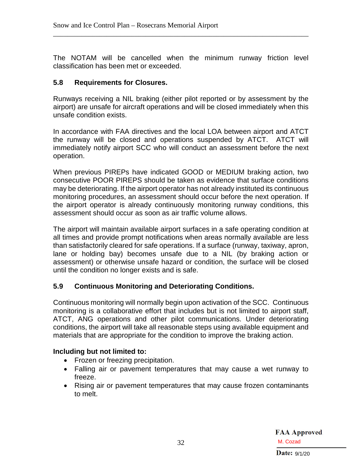The NOTAM will be cancelled when the minimum runway friction level classification has been met or exceeded.

\_\_\_\_\_\_\_\_\_\_\_\_\_\_\_\_\_\_\_\_\_\_\_\_\_\_\_\_\_\_\_\_\_\_\_\_\_\_\_\_\_\_\_\_\_\_\_\_\_\_\_\_\_\_\_\_\_\_\_\_\_\_\_\_\_\_\_\_\_\_\_\_

#### <span id="page-34-0"></span>**5.8 Requirements for Closures.**

Runways receiving a NIL braking (either pilot reported or by assessment by the airport) are unsafe for aircraft operations and will be closed immediately when this unsafe condition exists.

In accordance with FAA directives and the local LOA between airport and ATCT the runway will be closed and operations suspended by ATCT. ATCT will immediately notify airport SCC who will conduct an assessment before the next operation.

When previous PIREPs have indicated GOOD or MEDIUM braking action, two consecutive POOR PIREPS should be taken as evidence that surface conditions may be deteriorating. If the airport operator has not already instituted its continuous monitoring procedures, an assessment should occur before the next operation. If the airport operator is already continuously monitoring runway conditions, this assessment should occur as soon as air traffic volume allows.

The airport will maintain available airport surfaces in a safe operating condition at all times and provide prompt notifications when areas normally available are less than satisfactorily cleared for safe operations. If a surface (runway, taxiway, apron, lane or holding bay) becomes unsafe due to a NIL (by braking action or assessment) or otherwise unsafe hazard or condition, the surface will be closed until the condition no longer exists and is safe.

#### <span id="page-34-1"></span>**5.9 Continuous Monitoring and Deteriorating Conditions.**

Continuous monitoring will normally begin upon activation of the SCC. Continuous monitoring is a collaborative effort that includes but is not limited to airport staff, ATCT, ANG operations and other pilot communications. Under deteriorating conditions, the airport will take all reasonable steps using available equipment and materials that are appropriate for the condition to improve the braking action.

#### **Including but not limited to:**

- Frozen or freezing precipitation.
- Falling air or pavement temperatures that may cause a wet runway to freeze.
- Rising air or pavement temperatures that may cause frozen contaminants to melt.